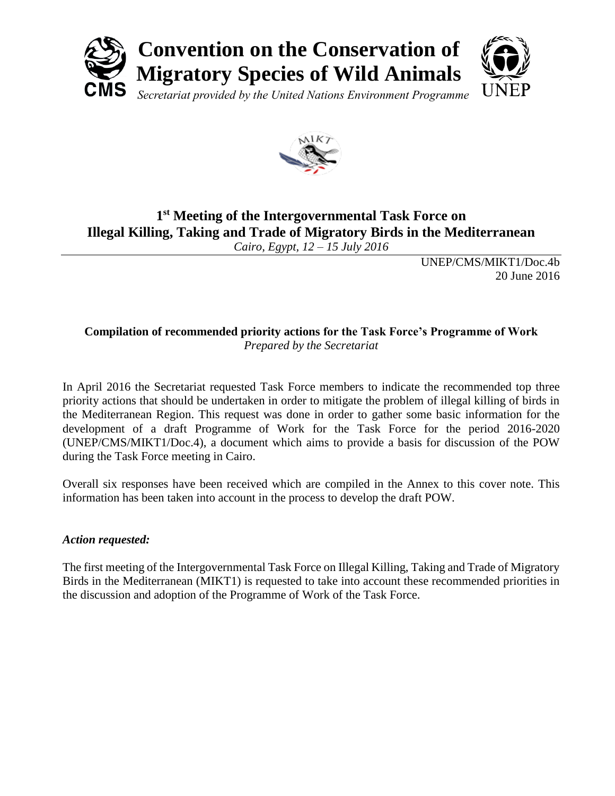



# **1 st Meeting of the Intergovernmental Task Force on Illegal Killing, Taking and Trade of Migratory Birds in the Mediterranean**

*Cairo, Egypt, 12 – 15 July 2016*

UNEP/CMS/MIKT1/Doc.4b 20 June 2016

## **Compilation of recommended priority actions for the Task Force's Programme of Work** *Prepared by the Secretariat*

In April 2016 the Secretariat requested Task Force members to indicate the recommended top three priority actions that should be undertaken in order to mitigate the problem of illegal killing of birds in the Mediterranean Region. This request was done in order to gather some basic information for the development of a draft Programme of Work for the Task Force for the period 2016-2020 (UNEP/CMS/MIKT1/Doc.4), a document which aims to provide a basis for discussion of the POW during the Task Force meeting in Cairo.

Overall six responses have been received which are compiled in the Annex to this cover note. This information has been taken into account in the process to develop the draft POW.

# *Action requested:*

The first meeting of the Intergovernmental Task Force on Illegal Killing, Taking and Trade of Migratory Birds in the Mediterranean (MIKT1) is requested to take into account these recommended priorities in the discussion and adoption of the Programme of Work of the Task Force.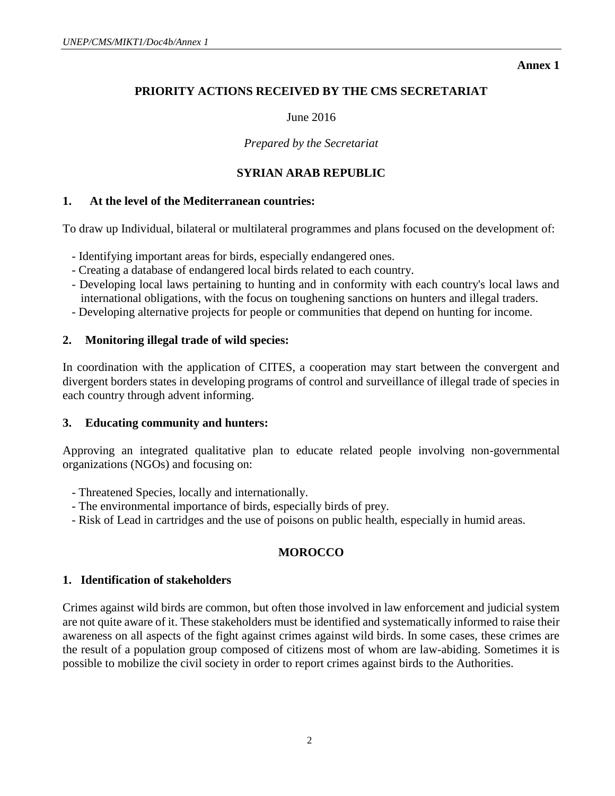**Annex 1**

# **PRIORITY ACTIONS RECEIVED BY THE CMS SECRETARIAT**

#### June 2016

*Prepared by the Secretariat*

### **SYRIAN ARAB REPUBLIC**

#### **1. At the level of the Mediterranean countries:**

To draw up Individual, bilateral or multilateral programmes and plans focused on the development of:

- Identifying important areas for birds, especially endangered ones.
- Creating a database of endangered local birds related to each country.
- Developing local laws pertaining to hunting and in conformity with each country's local laws and international obligations, with the focus on toughening sanctions on hunters and illegal traders.
- Developing alternative projects for people or communities that depend on hunting for income.

### **2. Monitoring illegal trade of wild species:**

In coordination with the application of CITES, a cooperation may start between the convergent and divergent borders states in developing programs of control and surveillance of illegal trade of species in each country through advent informing.

### **3. Educating community and hunters:**

Approving an integrated qualitative plan to educate related people involving non-governmental organizations (NGOs) and focusing on:

- Threatened Species, locally and internationally.
- The environmental importance of birds, especially birds of prey.
- Risk of Lead in cartridges and the use of poisons on public health, especially in humid areas.

# **MOROCCO**

#### **1. Identification of stakeholders**

Crimes against wild birds are common, but often those involved in law enforcement and judicial system are not quite aware of it. These stakeholders must be identified and systematically informed to raise their awareness on all aspects of the fight against crimes against wild birds. In some cases, these crimes are the result of a population group composed of citizens most of whom are law-abiding. Sometimes it is possible to mobilize the civil society in order to report crimes against birds to the Authorities.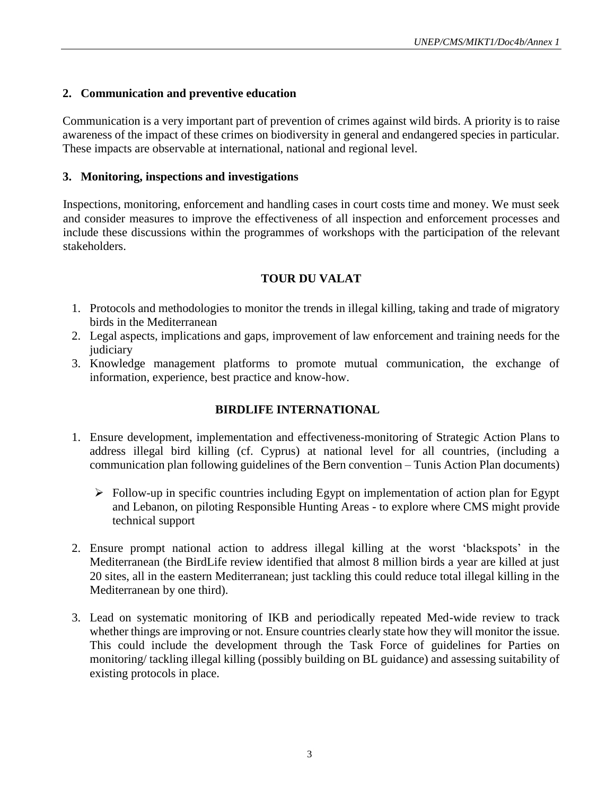#### **2. Communication and preventive education**

Communication is a very important part of prevention of crimes against wild birds. A priority is to raise awareness of the impact of these crimes on biodiversity in general and endangered species in particular. These impacts are observable at international, national and regional level.

#### **3. Monitoring, inspections and investigations**

Inspections, monitoring, enforcement and handling cases in court costs time and money. We must seek and consider measures to improve the effectiveness of all inspection and enforcement processes and include these discussions within the programmes of workshops with the participation of the relevant stakeholders.

### **TOUR DU VALAT**

- 1. Protocols and methodologies to monitor the trends in illegal killing, taking and trade of migratory birds in the Mediterranean
- 2. Legal aspects, implications and gaps, improvement of law enforcement and training needs for the judiciary
- 3. Knowledge management platforms to promote mutual communication, the exchange of information, experience, best practice and know-how.

### **BIRDLIFE INTERNATIONAL**

- 1. Ensure development, implementation and effectiveness-monitoring of Strategic Action Plans to address illegal bird killing (cf. Cyprus) at national level for all countries, (including a communication plan following guidelines of the Bern convention – Tunis Action Plan documents)
	- $\triangleright$  Follow-up in specific countries including Egypt on implementation of action plan for Egypt and Lebanon, on piloting Responsible Hunting Areas - to explore where CMS might provide technical support
- 2. Ensure prompt national action to address illegal killing at the worst 'blackspots' in the Mediterranean (the BirdLife review identified that almost 8 million birds a year are killed at just 20 sites, all in the eastern Mediterranean; just tackling this could reduce total illegal killing in the Mediterranean by one third).
- 3. Lead on systematic monitoring of IKB and periodically repeated Med-wide review to track whether things are improving or not. Ensure countries clearly state how they will monitor the issue. This could include the development through the Task Force of guidelines for Parties on monitoring/ tackling illegal killing (possibly building on BL guidance) and assessing suitability of existing protocols in place.